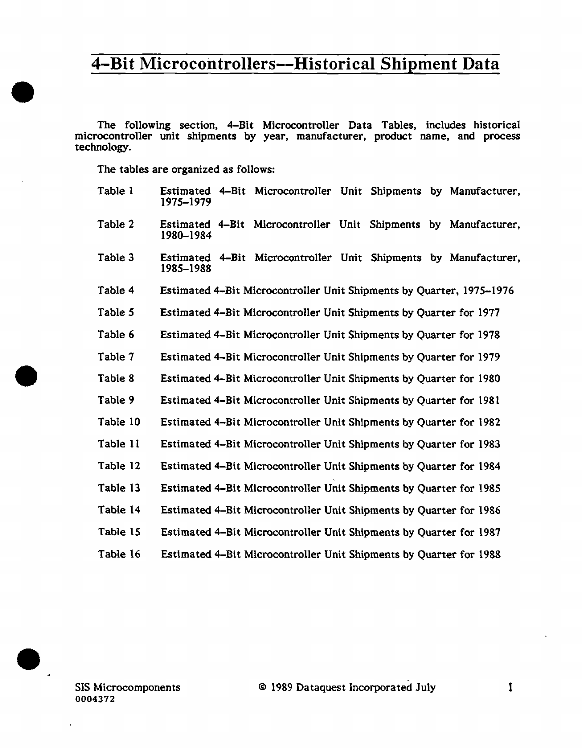The following section, 4-Bit Microcontroller Data Tables, includes historical microcontroller unit shipments by year, manufacturer, product name, and process technology.

The tables are organized as follows:

•

•

 $\bullet$ .

| Table 1  | Estimated 4–Bit Microcontroller Unit Shipments by Manufacturer,<br>1975-1979 |
|----------|------------------------------------------------------------------------------|
| Table 2  | Estimated 4-Bit Microcontroller Unit Shipments by Manufacturer,<br>1980-1984 |
| Table 3  | Estimated 4-Bit Microcontroller Unit Shipments by Manufacturer,<br>1985–1988 |
| Table 4  | Estimated 4-Bit Microcontroller Unit Shipments by Quarter, 1975-1976         |
| Table 5  | Estimated 4–Bit Microcontroller Unit Shipments by Quarter for 1977           |
| Table 6  | Estimated 4-Bit Microcontroller Unit Shipments by Quarter for 1978           |
| Table 7  | Estimated 4-Bit Microcontroller Unit Shipments by Quarter for 1979           |
| Table 8  | Estimated 4-Bit Microcontroller Unit Shipments by Quarter for 1980           |
| Table 9  | Estimated 4–Bit Microcontroller Unit Shipments by Quarter for 1981           |
| Table 10 | Estimated 4-Bit Microcontroller Unit Shipments by Quarter for 1982           |
| Table 11 | Estimated 4-Bit Microcontroller Unit Shipments by Quarter for 1983           |
| Table 12 | Estimated 4-Bit Microcontroller Unit Shipments by Quarter for 1984           |
| Table 13 | Estimated 4–Bit Microcontroller Unit Shipments by Quarter for 1985           |
| Table 14 | Estimated 4–Bit Microcontroller Unit Shipments by Quarter for 1986           |
| Table 15 | Estimated 4–Bit Microcontroller Unit Shipments by Quarter for 1987           |
| Table 16 | Estimated 4-Bit Microcontroller Unit Shipments by Quarter for 1988           |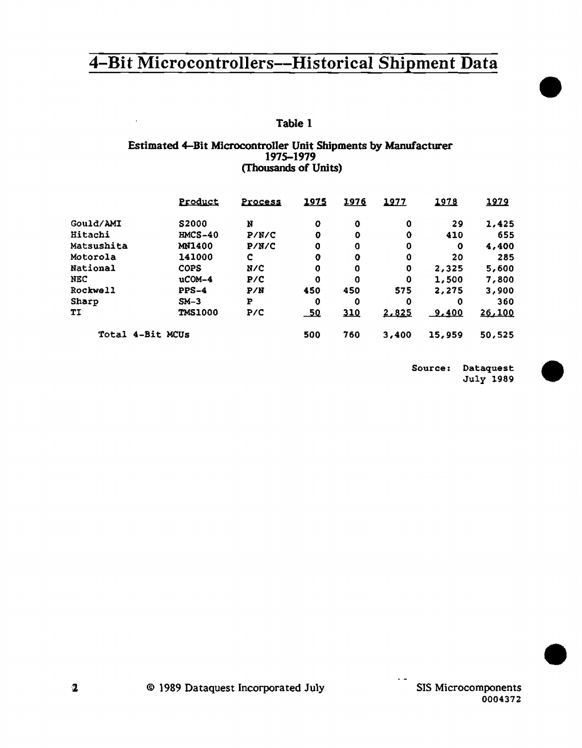# Table 1

 $\bar{1}$ 

#### Estimated 4-Bit Microcontroller Unit Shipments by Manufacturer 1975-1979 (Thousands of Units)

|                  | Product        | Process | 1975  | 1976        | 1977  | 1978   | 1979   |
|------------------|----------------|---------|-------|-------------|-------|--------|--------|
| Gould/AMI        | S2000          | N       | o     | 0           | o     | 29     | 1,425  |
| Hitachi          | $IMCS-40$      | P/N/C   | 0     | Ð           | ٥     | 410    | 655    |
| Matsushita       | MN1400         | P/N/C   | 0     | 0           | 0     | ٥      | 4,400  |
| Motorola         | 141000         | c       | 0     | $\mathbf 0$ | o     | 20     | 285    |
| National         | <b>COPS</b>    | N/C     | 0     | 0           | 0     | 2,325  | 5,600  |
| NEC              | $ucOM-4$       | P/C     | 0     | 0           | o     | 1,500  | 7,800  |
| Rockwell         | $PPS-4$        | P/N     | 450   | 450         | 575   | 2,275  | 3,900  |
| Sharp            | $SM-3$         | P       | 0     | 0           | 0     | 0      | 360    |
| TI               | <b>TMS1000</b> | P/C     | $-50$ | 310         | 2.825 | 9.400  | 26,100 |
| Total 4-Bit MCUs |                |         | 500   | 760         | 3,400 | 15,959 | 50,525 |

Source: Dataquest July 1989 •

•

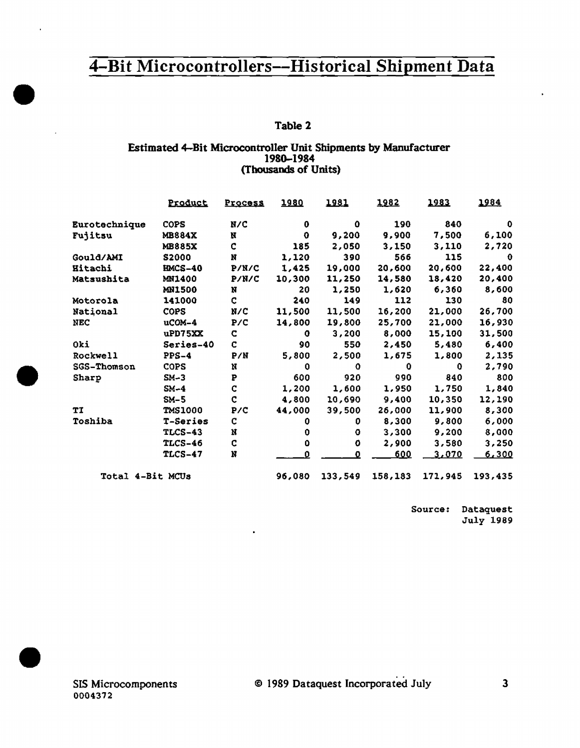### Table 2

#### Estimated 4-Bit Microcontroller Unit Shipments by Manufacturer 1980-1984 (Thousands of Units)

|                  | Product        | <b>Process</b> | 1980   | 1981    | 1982    | 1983    | 1984        |
|------------------|----------------|----------------|--------|---------|---------|---------|-------------|
| Eurotechnique    | <b>COPS</b>    | N/C            | 0      | 0       | 190     | 840     | o           |
| Fujitsu          | <b>MB884X</b>  | N              | 0      | 9,200   | 9,900   | 7,500   | 6,100       |
|                  | <b>MB885X</b>  | c              | 185    | 2,050   | 3,150   | 3,110   | 2,720       |
| Gould/AMI        | <b>S2000</b>   | N              | 1,120  | 390     | 566     | 115     | $\mathbf 0$ |
| Hitachi          | <b>HMCS-40</b> | P/N/C          | 1,425  | 19,000  | 20,600  | 20,600  | 22,400      |
| Matsushita       | MN1400         | P/N/C          | 10,300 | 11,250  | 14,580  | 18,420  | 20,400      |
|                  | <b>MN1500</b>  | N              | 20     | 1,250   | 1,620   | 6,360   | 8,600       |
| Motorola         | 141000         | c              | 240    | 149     | 112     | 130     | 80          |
| National         | <b>COPS</b>    | N/C            | 11,500 | 11,500  | 16,200  | 21,000  | 26,700      |
| <b>NEC</b>       | $ucOM-4$       | P/C            | 14,800 | 19,800  | 25,700  | 21,000  | 16,930      |
|                  | uPD75XX        | C.             | 0      | 3,200   | 8,000   | 15,100  | 31,500      |
| Oki              | Series-40      | c              | 90     | 550     | 2,450   | 5,480   | 6,400       |
| Rockwell         | $PPS-4$        | P/N            | 5,800  | 2,500   | 1,675   | 1,800   | 2,135       |
| SGS-Thomson      | <b>COPS</b>    | N              | 0      | o       | 0       | 0       | 2,790       |
| Sharp            | $SM-3$         | P              | 600    | 920     | 990     | 840     | 800         |
|                  | $SM-4$         | ¢              | 1,200  | 1,600   | 1,950   | 1,750   | 1,840       |
|                  | $SM-5$         | $\mathbf c$    | 4,800  | 10,690  | 9,400   | 10,350  | 12,190      |
| TÏ               | <b>TMS1000</b> | P/C            | 44,000 | 39,500  | 26,000  | 11,900  | 8,300       |
| Toshiba          | T-Series       | c              | 0      | 0       | 8,300   | 9,800   | 6,000       |
|                  | <b>TLCS-43</b> | N              | 0      | o       | 3,300   | 9,200   | 8,000       |
|                  | <b>TLCS-46</b> | $\mathbf C$    | ٥      | o       | 2,900   | 3,580   | 3,250       |
|                  | <b>TLCS-47</b> | N              | n      | Đ       | 600     | 3,070   | 6,300       |
| Total 4-Bit MCUs |                |                | 96,080 | 133,549 | 158,183 | 171,945 | 193,435     |

Source: Dataquest **July 1989** 

 $\overline{\mathbf{3}}$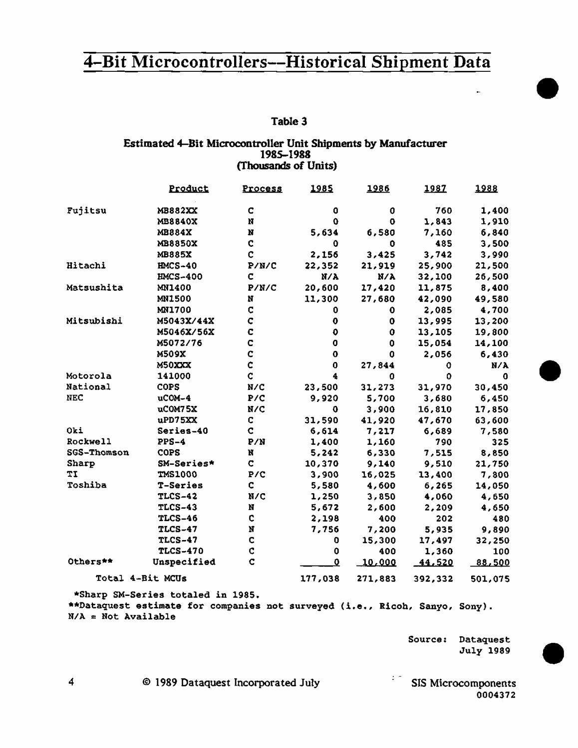Table 3

#### Estimated 4-Bit Microcontroller Unit Shipments by Manufacturer 1985-1988 (Thousands of Units)

|                 | Product                           | <u>Process</u> | 1985      | 1986        | 1987    | 1988        |
|-----------------|-----------------------------------|----------------|-----------|-------------|---------|-------------|
| Fujitsu         | MB882XX                           | c              | 0         | 0           | 760     | 1,400       |
|                 | MB8840X                           | N              | 0         | 0           | 1,843   | 1,910       |
|                 | MB884X                            | N              | 5,634     | 6,580       | 7,160   | 6,840       |
|                 | MB8850X                           | $\mathbf C$    | 0         | 0           | 485     | 3,500       |
|                 | <b>MB885X</b>                     | $\overline{C}$ | 2,156     | 3,425       | 3,742   | 3,990       |
| Hitachi         | <b>HMCS-40</b>                    | P/N/C          | 22,352    | 21,919      | 25,900  | 21,500      |
|                 | <b>HMCS-400</b>                   | C              | N/A       | $N/\lambda$ | 32,100  | 26,500      |
| Matsushita      | MN1400                            | P/N/C          | 20,600    | 17,420      | 11,875  | 8,400       |
|                 | <b>MN1500</b>                     | N              | 11,300    | 27,680      | 42,090  | 49,580      |
|                 | <b>MN1700</b>                     | C              | 0         | 0           | 2,085   | 4,700       |
| Mitsubishi      | M5043X/44X                        | Ċ              | 0         | 0           | 13,995  | 13,200      |
|                 | M5046X/56X                        | C              | o         | 0           | 13,105  | 19,800      |
|                 | M5072/76                          | C              | 0         | 0           | 15,054  | 14,100      |
|                 | M509X                             | Ċ              | 0         | 0           | 2,056   | 6,430       |
|                 | M50XXX                            | $\mathbf c$    | 0         | 27,844      | o       | $N/\lambda$ |
| Motorola        | 141000                            | $\mathbf c$    | 4         | 0           | O       | 0           |
| National        | <b>COPS</b>                       | N/C            | 23,500    | 31,273      | 31,970  | 30,450      |
| <b>NEC</b>      | uCOM-4                            | P/C            | 9,920     | 5,700       | 3,680   | 6,450       |
|                 | uCOM75X                           | N/C            | 0         | 3,900       | 16,810  | 17,850      |
|                 | uPD75XX                           | C              | 31,590    | 41,920      | 47,670  | 63,600      |
| Oki             | Series-40                         | ¢              | 6,614     | 7,217       | 6,689   | 7,580       |
| <b>Rockwell</b> | $PPS-4$                           | P/N            | 1,400     | 1,160       | 790     | 325         |
| SGS-Thomson     | <b>COPS</b>                       | N              | 5,242     | 6,330       | 7,515   | 8,850       |
| Sharp           | SM-Series*                        | c              | 10,370    | 9,140       | 9,510   | 21,750      |
| <b>TT</b>       | <b>TMS1000</b>                    | P/C            | 3,900     | 16,025      | 13,400  | 7,800       |
| Toshiba         | T-Series                          | C              | 5,580     | 4,600       | 6,265   | 14,050      |
|                 | <b>TLCS-42</b>                    | N/C            | 1,250     | 3,850       | 4,060   | 4,650       |
|                 | <b>TLCS-43</b>                    | N              | 5,672     | 2,600       | 2,209   | 4,650       |
|                 | <b>TLCS-46</b>                    | $\mathbf C$    | 2,198     | 400         | 202     | 480         |
|                 | <b>TLCS-47</b>                    | N              | 7,756     | 7,200       | 5,935   | 9,890       |
|                 | <b>TLCS-47</b>                    | $\mathbf C$    | 0         | 15,300      | 17,497  | 32,250      |
|                 | <b>TLCS-470</b>                   | $\mathbf C$    | 0         | 400         | 1,360   | 100         |
| Others**        | Unspecified                       | C              | $\bullet$ | 10,000      | 44,520  | 88,500      |
|                 | Total 4-Bit MCUs                  |                |           | 271,883     | 392,332 | 501,075     |
|                 | *Sharp SM-Series totaled in 1985. |                |           |             |         |             |

\*\*Dataquest estimate for companies not surveyed (i.e., Ricoh, Sanyo, Sony).  $N/A = Not Available$ 

> Source: Dataquest July 1989

© 1989 Dataquest Incorporated July

 $\mathbb{R}^{\mathbb{Z}^{\times}}$  SIS Microcomponents 0004372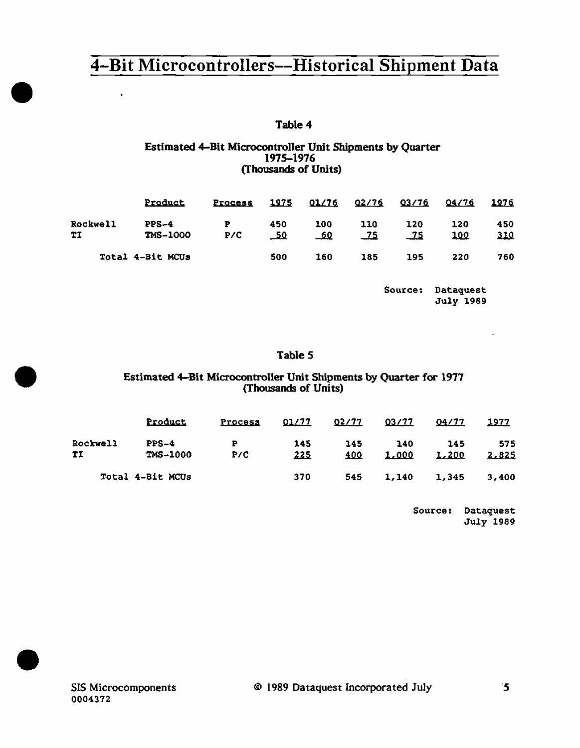## Table 4

### Estimated 4-Bit Microcontroller Unit Shipments by Quarter 1975-1976 (Thousands of Units)

|                       | <b>Product</b>             | Process  | 1975              | <u>01/76</u>      | 02/76        | <u>03/76</u> | 04/76      | 1976              |
|-----------------------|----------------------------|----------|-------------------|-------------------|--------------|--------------|------------|-------------------|
| <b>Rockwell</b><br>TI | $PPS-4$<br><b>TMS-1000</b> | Р<br>P/C | 450<br><u>_50</u> | 100<br><u>_60</u> | 110<br>$-75$ | 120<br>$-75$ | 120<br>100 | 450<br><u>310</u> |
|                       | Total 4-Bit MCUs           |          | 500               | 160               | 185          | 195          | 220        | 760               |

Source: Dataquest July 1989

÷.

### Table *S*

### Estimated 4-Bit Microcontroller Unit Shipments by Quarter for 1977 (Thousands of Units)

|                | Product                    | Process  | <u>01/77</u>      | 02/77      | <u>03/77</u> | 04/77        | 1977         |  |
|----------------|----------------------------|----------|-------------------|------------|--------------|--------------|--------------|--|
| Rockwell<br>TI | $PPS-4$<br><b>TMS-1000</b> | P<br>P/C | 145<br><u>225</u> | 145<br>400 | 140<br>1,000 | 145<br>1,200 | 575<br>2,825 |  |
|                | Total 4-Bit MCUs           |          | 370               | 545        | 1,140        | 1,345        | 3,400        |  |

Source: Dataquest July 1989

•

 $\blacksquare$ 

•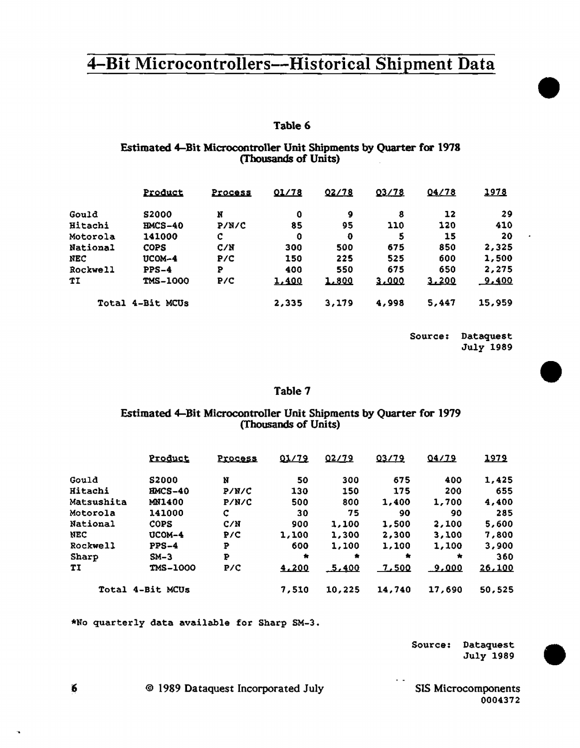### Table 6

### Estimated 4-Bit Microcontroller Unit Shipments by Quarter for 1978 (Thousands of Units)

|            | Product          | Process | 01/78 | 02/78 | 03/78 | 04/78 | <u> 1978 </u> |
|------------|------------------|---------|-------|-------|-------|-------|---------------|
| Gould      | <b>S2000</b>     | N       | 0     | 9     | 8     | 12    | 29            |
| Hitachi    | $IMCS-40$        | P/N/C   | 85    | 95    | 110   | 120   | 410           |
| Motorola   | 141000           | c       | 0     | o     | 5     | 15    | 20            |
| National   | <b>COPS</b>      | C/N     | 300   | 500   | 675   | 850   | 2.325         |
| <b>NEC</b> | $UCOM-4$         | P/C     | 150   | 225   | 525   | 600   | 1,500         |
| Rockwell   | $PPS-4$          | P       | 400   | 550   | 675   | 650   | 2,275         |
| ТĪ         | <b>TMS-1000</b>  | P/C     | 1,400 | 1.800 | 3,000 | 3.200 | 9,400         |
|            | Total 4-Bit MCUs |         | 2,335 | 3,179 | 4,998 | 5,447 | 15,959        |

Source: Dataquest July 1989 •

•

•

#### Table 7

#### Estimated 4-Bit Microcontroller Unit Shipments by Quarter for 1979 (Thousands of Units)

|                   | Product          | Process | 01/79     | 02/79  | 03/79        | 04/79         | 1979   |
|-------------------|------------------|---------|-----------|--------|--------------|---------------|--------|
| Gould             | \$2000           | N       | 50        | 300    | 675          | 400           | 1,425  |
| <b>Hitachi</b>    | $HMCS-40$        | P/N/C   | 130       | 150    | 175          | 200           | 655    |
| <b>Matsushita</b> | MN1400           | P/N/C   | 500       | 800    | 1,400        | 1,700         | 4,400  |
| Motorola          | 141000           | c       | 30        | 75     | 90           | 90            | 285    |
| National          | COPS             | C/M     | 900       | 1,100  | 1,500        | 2,100         | 5,600  |
| NEC               | UCOM-4           | P/C     | 1,100     | 1,300  | 2,300        | 3,100         | 7,800  |
| Rockwell          | $PPS-4$          | P       | 600       | 1,100  | 1,100        | 1,100         | 3,900  |
| Sharp             | $SM-3$           | P       | $\bullet$ | ۰      | 倉            | $\bullet$     | 360    |
| TI                | TMS-1000         | P/C     | 4.200     | 5.400  | <u>7.500</u> | <u>_9,000</u> | 26,100 |
|                   | Total 4-Bit MCUs |         | 7,510     | 10,225 | 14,740       | 17,690        | 50.525 |

\*No quarterly data available for Sharp SM-3.

Source: Dataquest July 1989

' © 1989 Dataquest Incorporated July SIS Microcomponents

0004372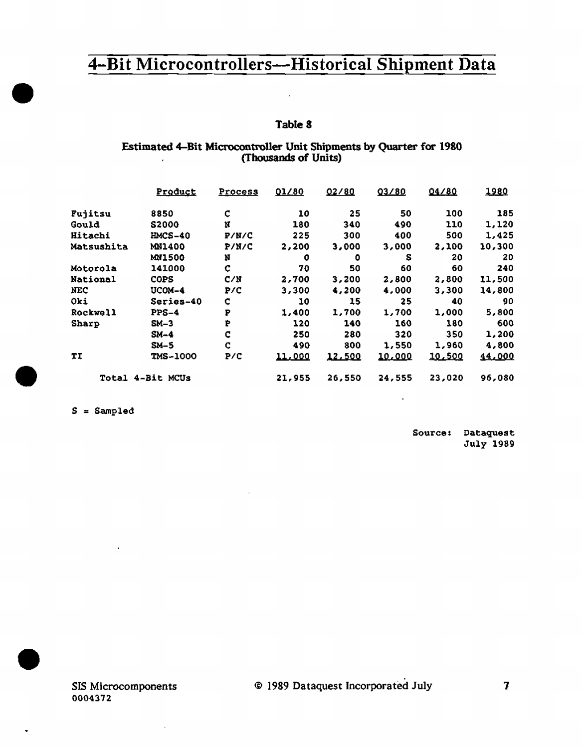$\epsilon$ 

## Table 8

#### Estimated 4-Bit Microcontroller Unit Shipments by Quarter for 1980 (Thousands of Units)

|              | Product          | Process | 01/80  | 02/80  | 03/80  | 04/80  | 1980   |
|--------------|------------------|---------|--------|--------|--------|--------|--------|
| Fujitsu      | 8850             | C       | 10     | 25     | 50     | 100    | 185    |
| Gould        | <b>S2000</b>     | N       | 180    | 340    | 490    | 110    | 1,120  |
| Hitachi      | <b>HMCS-40</b>   | P/N/C   | 225    | 300    | 400    | 500    | 1,425  |
| Matsushita   | <b>MN1400</b>    | P/N/C   | 2,200  | 3,000  | 3,000  | 2,100  | 10,300 |
|              | <b>MN1500</b>    | N       | 0      | 0      | s      | 20     | 20     |
| Motorola     | 141000           | C       | 70     | 50     | 60     | 60     | 240    |
| National     | <b>COPS</b>      | C/N     | 2,700  | 3,200  | 2,800  | 2,800  | 11,500 |
| <b>NEC</b>   | UCOM-4           | P/C     | 3,300  | 4,200  | 4,000  | 3,300  | 14,800 |
| Oki          | Series-40        | C       | 10     | 15     | 25     | 40     | 90     |
| Rockwell     | $PPS-4$          | P       | 1,400  | 1,700  | 1,700  | 1,000  | 5,800  |
| <b>Sharp</b> | $SM-3$           | P       | 120    | 140    | 160    | 180    | 600    |
|              | $SM-4$           | C       | 250    | 280    | 320    | 350    | 1,200  |
|              | $SM-5$           | C       | 490    | 800    | 1,550  | 1,960  | 4,800  |
| ΤI           | <b>TMS-1000</b>  | P/C     | 11,000 | 12,500 | 10,000 | 10,500 | 44,000 |
|              | Total 4-Bit MCUs |         | 21,955 | 26,550 | 24,555 | 23,020 | 96,080 |

 $S = Sampled$ 

•

•

•

Source: Dataquest July 1989

Ŷ.

 $\cdot$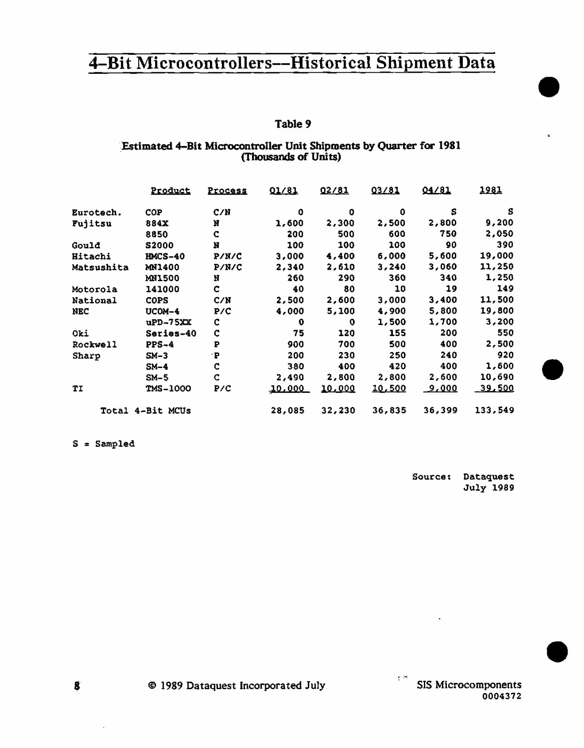#### Table 9

## :Estimated 4-Bit Microcontroller Unit Shipments by Quarter for 1981 (Thousands of Units)

|            | Product          | <u>Process</u> | 01/81  | 02/81         | 03/81          | 04/81        | 1981           |
|------------|------------------|----------------|--------|---------------|----------------|--------------|----------------|
| Eurotech.  | <b>COP</b>       | C/N            | 0      | 0             | 0              | s            | s              |
| Fujitsu    | 884X             | N              | 1,600  | 2,300         | 2,500          | 2,800        | 9,200          |
|            | 8850             | c              | 200    | 500           | 600            | 750          | 2,050          |
| Gould      | S2000            | N              | 100    | 100           | 100            | 90           | 390            |
| Hitachi    | $IMCS-40$        | P/N/C          | 3,000  | 4,400         | 6,000          | 5,600        | 19,000         |
| Matsushita | MN1400           | P/N/C          | 2,340  | 2,610         | 3,240          | 3,060        | 11,250         |
|            | <b>MNI500</b>    | N              | 260    | 290           | 360            | 340          | 1,250          |
| Motorola   | 141000           | c              | 40     | 80            | 10             | 19           | 149            |
| National   | <b>COPS</b>      | C/N            | 2,500  | 2,600         | 3,000          | 3,400        | 11,500         |
| NEC        | UCOM-4           | P/C            | 4,000  | 5,100         | 4,900          | 5,800        | 19,800         |
|            | $uPD-75XX$       | c              | 0      | 0             | 1,500          | 1,700        | 3,200          |
| Oki        | Series-40        | C              | 75     | 120           | 155            | 200          | 550            |
| Rockwell   | $PPS-4$          | P              | 900    | 700           | 500            | 400          | 2,500          |
| Sharp      | $SM-3$           | ٠P             | 200    | 230           | 250            | 240          | 920            |
|            | $SM-4$           | c              | 380    | 400           | 420            | 400          | 1,600          |
|            | $SM-5$           | c              | 2,490  | 2,800         | 2,800          | 2,600        | 10,690         |
| ŤΙ         | <b>TMS-1000</b>  | P/C            | 10.000 | <u>10,000</u> | <u> 10,500</u> | <u>9,000</u> | <u>.39,500</u> |
|            | Total 4-Bit MCUs |                | 28,085 | 32,230        | 36,835         | 36,399       | 133,549        |

s = Sampled

Source: Dataquest July 1989 •

•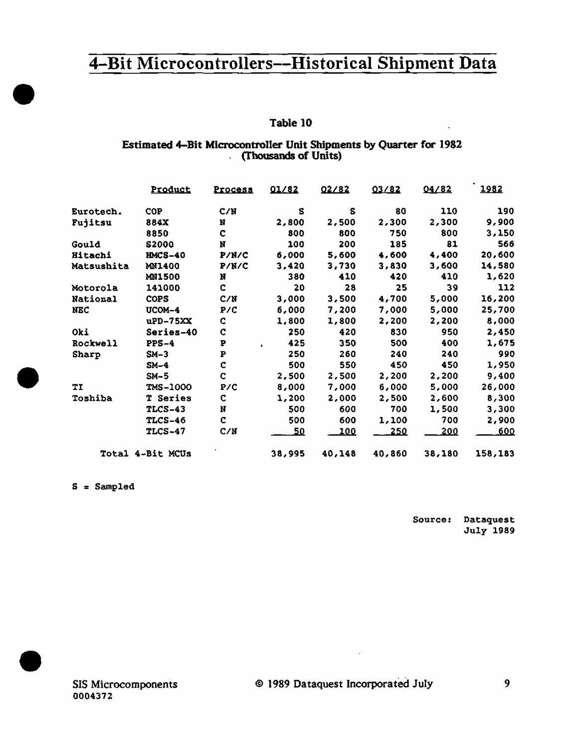### Table 10

### Estimated 4-Bit Microcontroller Unit Shipments by Quarter for 1982 (Thousands of Units)

|            | Product          | <u>Process</u> | 01/82  | 02/82  | 03/82  | 04/82  | 1982    |
|------------|------------------|----------------|--------|--------|--------|--------|---------|
| Eurotech.  | <b>COP</b>       | C/N            | s      | S      | 80     | 110    | 190     |
| Fujitsu    | <b>884X</b>      | N              | 2,800  | 2,500  | 2,300  | 2,300  | 9,900   |
|            | 8850             | c              | 800    | 800    | 750    | 800    | 3,150   |
| Gould      | <b>S2000</b>     | N              | 100    | 200    | 185    | 81     | 566     |
| Hitachi    | <b>HMCS-40</b>   | P/N/C          | 6,000  | 5,600  | 4,600  | 4,400  | 20,600  |
| Matsushita | <b>MN1400</b>    | P/K/C          | 3,420  | 3,730  | 3,830  | 3,600  | 14,580  |
|            | <b>MN1500</b>    | N              | 380    | 410    | 420    | 410    | 1,620   |
| Motorola   | 141000           | Ċ              | 20     | 28     | 25     | 39     | 112     |
| National   | <b>COPS</b>      | C/N            | 3,000  | 3,500  | 4,700  | 5,000  | 16,200  |
| <b>NEC</b> | UCOM-4           | P/C            | 6,000  | 7,200  | 7,000  | 5,000  | 25,700  |
|            | uPD-75XX         | C              | 1,800  | 1,800  | 2,200  | 2,200  | 8,000   |
| Oki        | Series-40        | C              | 250    | 420    | 830    | 950    | 2,450   |
| Rockwell   | $PPS-4$          | P              | 425    | 350    | 500    | 400    | 1,675   |
| Sharp      | $SM-3$           | P              | 250    | 260    | 240    | 240    | 990     |
|            | $SM-4$           | C              | 500    | 550    | 450    | 450    | 1,950   |
|            | $SM-5$           | c              | 2,500  | 2,500  | 2,200  | 2,200  | 9,400   |
| ТI         | <b>TMS-1000</b>  | P/C            | 8,000  | 7,000  | 6,000  | 5,000  | 26,000  |
| Toshiba    | T Series         | C              | 1,200  | 2,000  | 2,500  | 2,600  | 8,300   |
|            | TLCS-43          | N              | 500    | 600    | 700    | 1,500  | 3,300   |
|            | <b>TLCS-46</b>   | c              | 500    | 600    | 1,100  | 700    | 2,900   |
|            | <b>TLCS-47</b>   | C/M            | 50     | 100    | 250    | 200    | 600     |
|            | Total 4-Bit MCUs |                | 38,995 | 40,148 | 40,860 | 38,180 | 158,183 |

s = Sampled

•

•

•

Source: Dataquest July 1989

 $\ddot{\phantom{1}}$ 

J.

9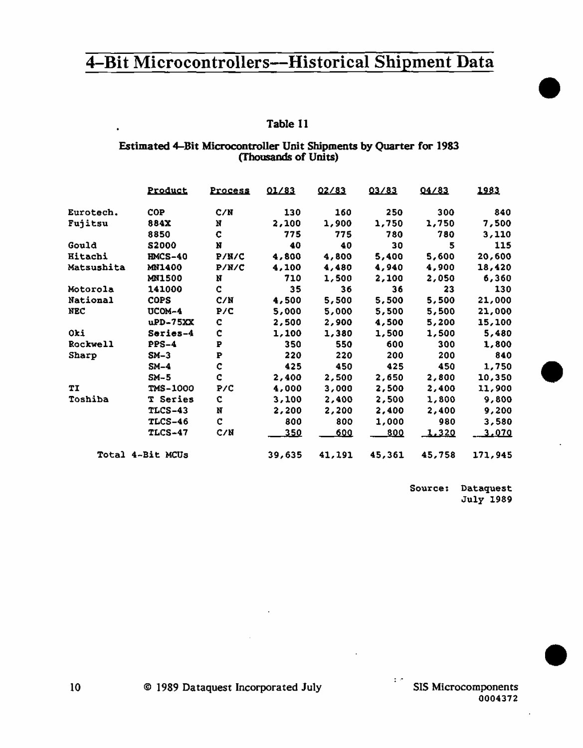## Table 11

#### Estimated 4-Bit Microcontroller Unit Shipments by Quarter for 1983 (Thousands of Units)

|                | Product          | <u>Process</u> | 01/83       | 02/83  | 03/83      | 04/83        | 1983    |
|----------------|------------------|----------------|-------------|--------|------------|--------------|---------|
| Eurotech.      | COP              | C/N            | 130         | 160    | 250        | 300          | 840     |
| Fujitsu        | 884X             | N              | 2,100       | 1,900  | 1,750      | 1,750        | 7,500   |
|                | 8850             | C              | 775         | 775    | 780        | 780          | 3,110   |
| Gould          | <b>S2000</b>     | N              | 40          | 40     | 30         | 5            | 115     |
| <b>Hitachi</b> | <b>HMCS-40</b>   | P/N/C          | 4,800       | 4,800  | 5,400      | 5,600        | 20,600  |
| Matsushita     | <b>MN1400</b>    | P/N/C          | 4,100       | 4,480  | 4,940      | 4,900        | 18,420  |
|                | <b>MN1500</b>    | N              | 710         | 1,500  | 2,100      | 2,050        | 6,360   |
| Motorola       | 141000           | Ċ              | 35          | 36     | 36         | 23           | 130     |
| National       | <b>COPS</b>      | C/N            | 4,500       | 5,500  | 5,500      | 5,500        | 21,000  |
| <b>NEC</b>     | UCOM-4           | P/C            | 5,000       | 5,000  | 5,500      | 5,500        | 21,000  |
|                | uPD-75XX         | c              | 2,500       | 2,900  | 4,500      | 5,200        | 15,100  |
| Oki            | Series-4         | Ċ              | 1,100       | 1,380  | 1,500      | 1,500        | 5,480   |
| Rockwell       | $PPS-4$          | P              | 350         | 550    | 600        | 300          | 1,800   |
| Sharp          | $SM-3$           | P              | 220         | 220    | 200        | 200          | 840     |
|                | $SM-4$           | $\mathbf c$    | 425         | 450    | 425        | 450          | 1,750   |
|                | $SM-5$           | C              | 2,400       | 2,500  | 2,650      | 2,800        | 10,350  |
| TI             | TMS-1000         | P/C            | 4,000       | 3,000  | 2,500      | 2,400        | 11,900  |
| Toshiba        | T Series         | ¢              | 3,100       | 2,400  | 2,500      | 1,800        | 9,800   |
|                | TLCS-43          | Ņ              | 2,200       | 2,200  | 2,400      | 2,400        | 9,200   |
|                | TLCS-46          | $\mathbf c$    | 800         | 800    | 1,000      | 980          | 3,580   |
|                | <b>TLCS-47</b>   | C/M            | <u>_350</u> | 600    | <u>800</u> | <u>1.320</u> | 3,070   |
|                | Total 4-Bit MCUs |                | 39,635      | 41,191 | 45,361     | 45,758       | 171,945 |

Source: Dataquest July 1989 •

•

•

l,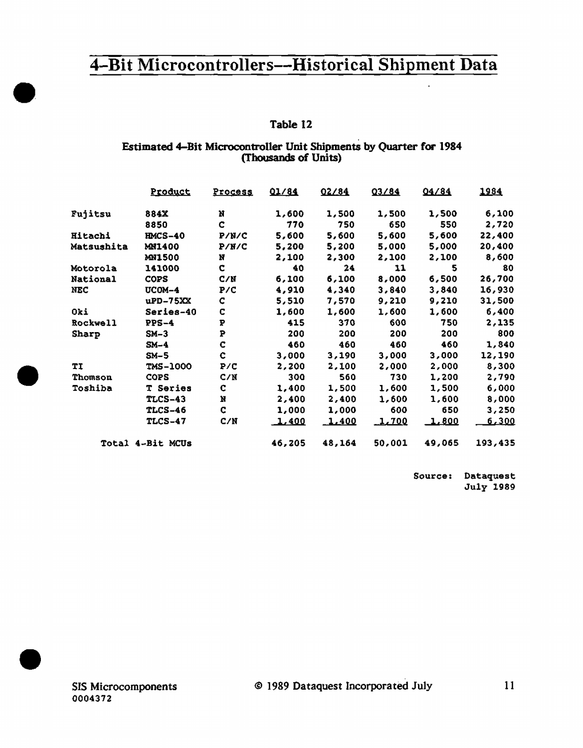# Table 12

### Estimated 4-Bit Microcontroller Unit Shipments by Quarter for 1984 (Thousands of Units)

|                 | Product          | <u>Process</u> | 01/84        | 02/84          | 03/84  | 04/84  | 1984         |
|-----------------|------------------|----------------|--------------|----------------|--------|--------|--------------|
| Fujitsu         | 884X             | N              | 1,600        | 1,500          | 1,500  | 1,500  | 6,100        |
|                 | 8850             | c              | 770          | 750            | 650    | 550    | 2,720        |
| Hitachi         | $HMCS-40$        | P/N/C          | 5,600        | 5,600          | 5,600  | 5,600  | 22,400       |
| Matsushita      | <b>MN1400</b>    | P/ W / C       | 5,200        | 5,200          | 5,000  | 5,000  | 20,400       |
|                 | <b>MN1500</b>    | Ħ              | 2,100        | 2,300          | 2,100  | 2,100  | 8,600        |
| Motorola        | 141000           | c              | 40           | 24             | 11     | 5      | 80           |
| National        | <b>COPS</b>      | C/N            | 6,100        | 6,100          | 8,000  | 6,500  | 26,700       |
| NEC             | UCOM-4           | P/C            | 4,910        | 4,340          | 3,840  | 3,840  | 16,930       |
|                 | uPD-75XX         | C              | 5,510        | 7,570          | 9,210  | 9,210  | 31,500       |
| Oki             | Series-40        | C              | 1,600        | 1,600          | 1,600  | 1,600  | 6,400        |
| <b>Rockwell</b> | $PPS-4$          | ₽              | 415          | 370            | 600    | 750    | 2,135        |
| Sharp           | $SM-3$           | P              | 200          | 200            | 200    | 200    | 800          |
|                 | $SM-4$           | C              | 460          | 460            | 460    | 460    | 1,840        |
|                 | $SM-5$           | ¢              | 3,000        | 3,190          | 3,000  | 3,000  | 12,190       |
| TI              | <b>TMS-1000</b>  | P/C            | 2,200        | 2,100          | 2,000  | 2,000  | 8,300        |
| Thomson         | <b>COPS</b>      | C/N            | 300          | 560            | 730    | 1,200  | 2,790        |
| Toshiba         | <b>T</b> Series  | c              | 1,400        | 1,500          | 1,600  | 1,500  | 6,000        |
|                 | <b>TLCS-43</b>   | N              | 2,400        | 2,400          | 1,600  | 1,600  | 8,000        |
|                 | <b>TLCS-46</b>   | C              | 1,000        | 1,000          | 600    | 650    | 3,250        |
|                 | <b>TLCS-47</b>   | C/N            | <u>1,400</u> | <u>. 1.400</u> | 1,700  | 1,800  | <u>6,300</u> |
|                 | Total 4-Bit MCUs |                | 46,205       | 48,164         | 50,001 | 49,065 | 193,435      |

Source: Dataquest July 1989

••

•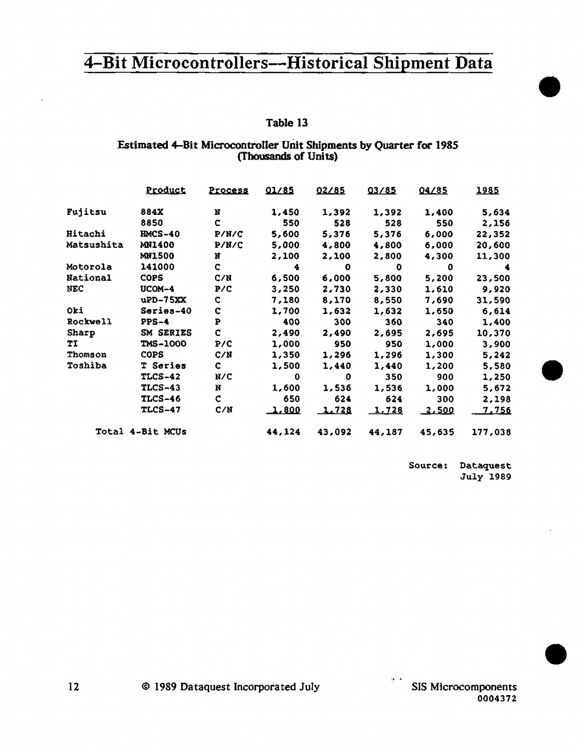## Table 13

### Estimated 4-Bit Microcontroller Unit Shipments by Quarter for 1985 (Thousands of Units)

|                 | Product          | <b>Process</b> | 01/85  | 02/85  | 03/85  | 04/85         | 1985         |
|-----------------|------------------|----------------|--------|--------|--------|---------------|--------------|
| Fujitsu         | 884X             | N              | 1,450  | 1,392  | 1,392  | 1,400         | 5,634        |
|                 | 8850             | C              | 550    | 528    | 528    | 550           | 2,156        |
| Hitachi         | <b>HMCS-40</b>   | P/N/C          | 5,600  | 5,376  | 5,376  | 6,000         | 22,352       |
| Matsushita      | <b>MN1400</b>    | P/N/C          | 5,000  | 4,800  | 4,800  | 6,000         | 20,600       |
|                 | <b>MN1500</b>    | N              | 2,100  | 2,100  | 2,800  | 4,300         | 11,300       |
| Motorola        | 141000           | c              | 4      | o      | O      | 0             | 4            |
| National        | <b>COPS</b>      | C/N            | 6,500  | 6.000  | 5,800  | 5,200         | 23,500       |
| <b>NEC</b>      | UCOM-4           | P/C            | 3,250  | 2,730  | 2,330  | 1,610         | 9,920        |
|                 | $uP$ D $-75$ XX  | C              | 7,180  | 8,170  | 8,550  | 7,690         | 31,590       |
| Oki             | Series-40        | $\mathbf c$    | 1,700  | 1,632  | 1,632  | 1,650         | 6,614        |
| <b>Rockwell</b> | $PPS-4$          | P              | 400    | 300    | 360    | 340           | 1,400        |
| Sharp           | SM SERIES        | C              | 2,490  | 2,490  | 2,695  | 2,695         | 10,370       |
| ΤI              | <b>TMS-1000</b>  | P/C            | 1,000  | 950    | 950    | 1,000         | 3,900        |
| Thomson         | <b>COPS</b>      | C/N            | 1,350  | 1,296  | 1,296  | 1,300         | 5,242        |
| Toshiba         | <b>T</b> Series  | c              | 1,500  | 1,440  | 1,440  | 1,200         | 5,580        |
|                 | <b>TLCS-42</b>   | N/C            | 0      | 0      | 350    | 900           | 1,250        |
|                 | $TLCS-43$        | N              | 1.600  | 1,536  | 1,536  | 1,000         | 5,672        |
|                 | <b>TLCS-46</b>   | C              | 650    | 624    | 624    | 300           | 2,198        |
|                 | <b>TLCS-47</b>   | C/N            | 1.800  | 1.728  | 1,728  | <u> 2,500</u> | <u>7,756</u> |
|                 | Total 4-Bit MCUs |                | 44,124 | 43,092 | 44,187 | 45,635        | 177,038      |

Source: Dataquest July 1989

•

•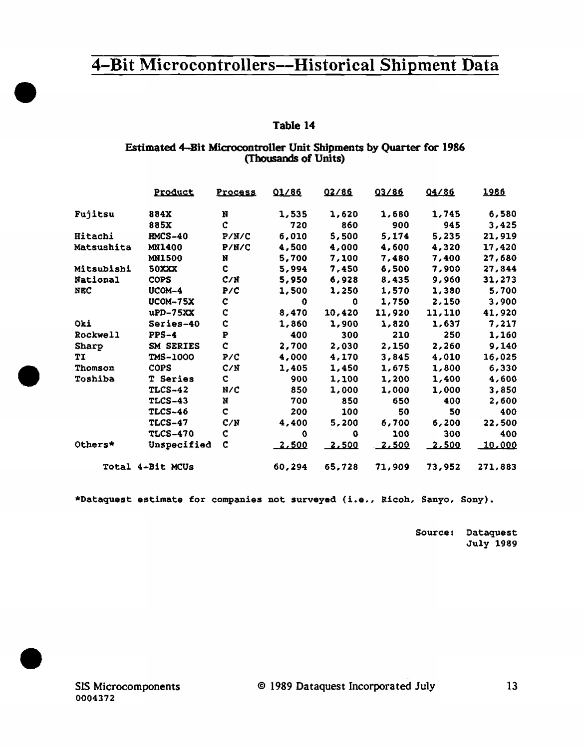# Table 14

### Estimated 4-Bit Microcontroller Unit Shipments by Quarter for 1986 (Thousands of Units)

|                  | Product         | <b>Process</b> | 01/86          | 02/86  | 03/86    | 04/86  | 1986          |
|------------------|-----------------|----------------|----------------|--------|----------|--------|---------------|
| Fujitsu          | 884X            | N              | 1,535          | 1,620  | 1,680    | 1,745  | 6,580         |
|                  | 885X            | C              | 720            | 860    | 900      | 945    | 3,425         |
| Hitachi          | <b>HMCS-40</b>  | P/N/C          | 6,010          | 5,500  | 5,174    | 5,235  | 21,919        |
| Matsushita       | MN1400          | P/N/C          | 4,500          | 4,000  | 4,600    | 4,320  | 17,420        |
|                  | <b>MN1500</b>   | N              | 5,700          | 7,100  | 7,480    | 7,400  | 27,680        |
| Mitsubishi       | <b>50XXX</b>    | C              | 5,994          | 7,450  | 6,500    | 7,900  | 27,844        |
| National         | <b>COPS</b>     | C/N            | 5,950          | 6,928  | 8,435    | 9,960  | 31,273        |
| <b>NEC</b>       | UCOM-4          | P/C            | 1,500          | 1,250  | 1,570    | 1,380  | 5,700         |
|                  | <b>UCOM-75X</b> | c              | $\mathbf 0$    | 0      | 1,750    | 2,150  | 3,900         |
|                  | $uPD-75XX$      | C              | 8,470          | 10,420 | 11,920   | 11,110 | 41,920        |
| Oki              | Series-40       | Ċ              | 1,860          | 1,900  | 1,820    | 1,637  | 7,217         |
| Rockwell         | $PPS-4$         | P              | 400            | 300    | 210      | 250    | 1,160         |
| Sharp            | SM SERIES       | Ċ              | 2,700          | 2,030  | 2,150    | 2,260  | 9,140         |
| TI               | TMS-1000        | P/C            | 4,000          | 4,170  | 3,845    | 4,010  | 16,025        |
| Thomson          | <b>COPS</b>     | C/N            | 1,405          | 1,450  | 1,675    | 1,800  | 6,330         |
| Toshiba          | T Series        | c              | 900            | 1,100  | 1,200    | 1,400  | 4,600         |
|                  | TLCS-42         | N/C            | 850            | 1,000  | 1,000    | 1,000  | 3,850         |
|                  | <b>TLCS-43</b>  | N              | 700            | 850    | 650      | 400    | 2,600         |
|                  | <b>TLCS-46</b>  | c              | 200            | 100    | 50       | 50     | 400           |
|                  | <b>TLCS-47</b>  | C/N            | 4,400          | 5,200  | 6,700    | 6,200  | 22,500        |
|                  | <b>TLCS-470</b> | C              | O              | 0      | 100      | 300    | 400           |
| Others*          | Unspecified     | c              | <u> 2,500 </u> | 2,500  | $-2.500$ | 2,500  | <u>10,000</u> |
| Total 4-Bit MCUs |                 |                | 60,294         | 65,728 | 71,909   | 73,952 | 271,883       |

\*Dataquest estimate for companies not surveyed (i.e., Ricoh, Sanyo, Sony).

Source: Dataquest **July 1989**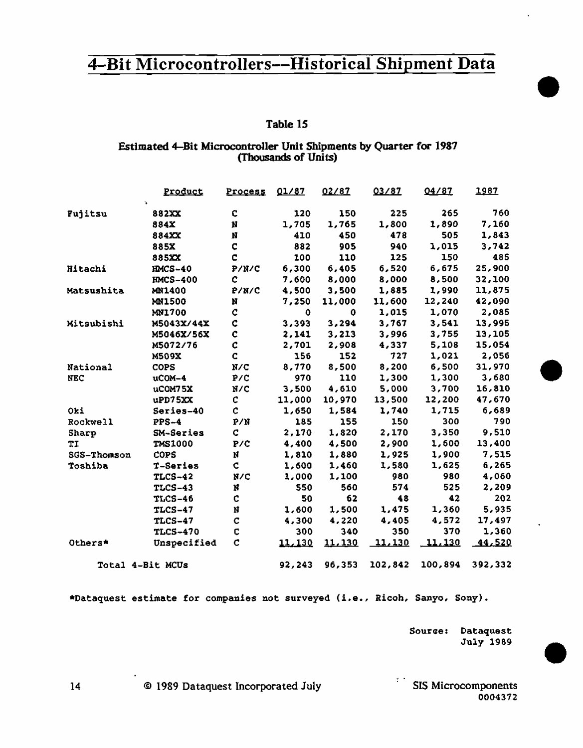### Table 15

#### Estimated 4-Bit Microcontroller Unit Shipments by Quarter for 1987 (Thousands of Units)

|                  | Product         | <b>Process</b> | 01/87        | 02/87  | 03/87   | 04/87         | 1987    |
|------------------|-----------------|----------------|--------------|--------|---------|---------------|---------|
| Fujitsu          | 882XX           | C              | 120          | 150    | 225     | 265           | 760     |
|                  | 884X            | N              | 1,705        | 1,765  | 1,800   | 1,890         | 7,160   |
|                  | 884XX           | N              | 410          | 450    | 478     | 505           | 1,843   |
|                  | 885X            | C              | 882          | 905    | 940     | 1,015         | 3,742   |
|                  | 885XX           | Ċ              | 100          | 110    | 125     | 150           | 485     |
| Hitachi          | <b>HMCS-40</b>  | P/N/C          | 6,300        | 6,405  | 6,520   | 6,675         | 25,900  |
|                  | <b>HMCS-400</b> | C              | 7,600        | 8,000  | 8,000   | 8,500         | 32,100  |
| Matsushita       | <b>MN1400</b>   | P/N/C          | 4,500        | 3,500  | 1,885   | 1,990         | 11,875  |
|                  | <b>MN1500</b>   | N              | 7,250        | 11,000 | 11,600  | 12,240        | 42,090  |
|                  | <b>MN1700</b>   | C              | $\mathbf{o}$ | 0      | 1,015   | 1,070         | 2,085   |
| Mitsubishi       | M5043X/44X      | C              | 3,393        | 3,294  | 3,767   | 3,541         | 13,995  |
|                  | M5046X/56X      | $\mathbf c$    | 2,141        | 3,213  | 3,996   | 3,755         | 13,105  |
|                  | M5072/76        | ¢              | 2,701        | 2,908  | 4,337   | 5,108         | 15,054  |
|                  | <b>M509X</b>    | C              | 156          | 152    | 727     | 1,021         | 2,056   |
| National         | <b>COPS</b>     | N/C            | 8,770        | 8,500  | 8,200   | 6,500         | 31,970  |
| <b>NEC</b>       | uCOM-4          | P/C            | 970          | 110    | 1,300   | 1,300         | 3,680   |
|                  | uCOM75X         | N/C            | 3,500        | 4,610  | 5,000   | 3,700         | 16,810  |
|                  | uPD75XX         | C              | 11,000       | 10,970 | 13,500  | 12,200        | 47,670  |
| Oki              | Series-40       | C              | 1,650        | 1,584  | 1,740   | 1,715         | 6,689   |
| Rockwell         | <b>PPS-4</b>    | P/N            | 185          | 155    | 150     | 300           | 790     |
| Sharp            | SM-Series       | ¢              | 2,170        | 1,820  | 2,170   | 3,350         | 9,510   |
| TI               | <b>TMS1000</b>  | P/C            | 4,400        | 4,500  | 2,900   | 1,600         | 13,400  |
| SGS-Thomson      | <b>COPS</b>     | Ņ              | 1,810        | 1,880  | 1,925   | 1,900         | 7,515   |
| Toshiba          | T-Series        | ¢              | 1,600        | 1,460  | 1,580   | 1,625         | 6,265   |
|                  | <b>TLCS-42</b>  | N/C            | 1,000        | 1,100  | 980     | 980           | 4,060   |
|                  | <b>TLCS-43</b>  | N              | 550          | 560    | 574     | 525           | 2,209   |
|                  | <b>TLCS-46</b>  | C              | 50           | 62     | 48      | 42            | 202     |
|                  | <b>TLCS-47</b>  | N              | 1,600        | 1,500  | 1,475   | 1,360         | 5,935   |
|                  | <b>TLCS-47</b>  | $\mathbf C$    | 4,300        | 4,220  | 4,405   | 4,572         | 17,497  |
|                  | <b>TLCS-470</b> | C              | 300          | 340    | 350     | 370           | 1,360   |
| Others*          | Unspecified     | c              | 11,130       | 11,130 | 11,130  | <u>11,130</u> | 44,520  |
| Total 4-Bit MCUs |                 |                | 92,243       | 96,353 | 102,842 | 100,894       | 392,332 |

\*Dataquest estimate for companies not surveyed (i.e., Ricoh, Sanyo, Sony).

Source: Dataquest July 1989

 $\mathcal{F}(\cdot)$ **SIS Microcomponents** 0004372

@ 1989 Dataquest Incorporated July

 $14$